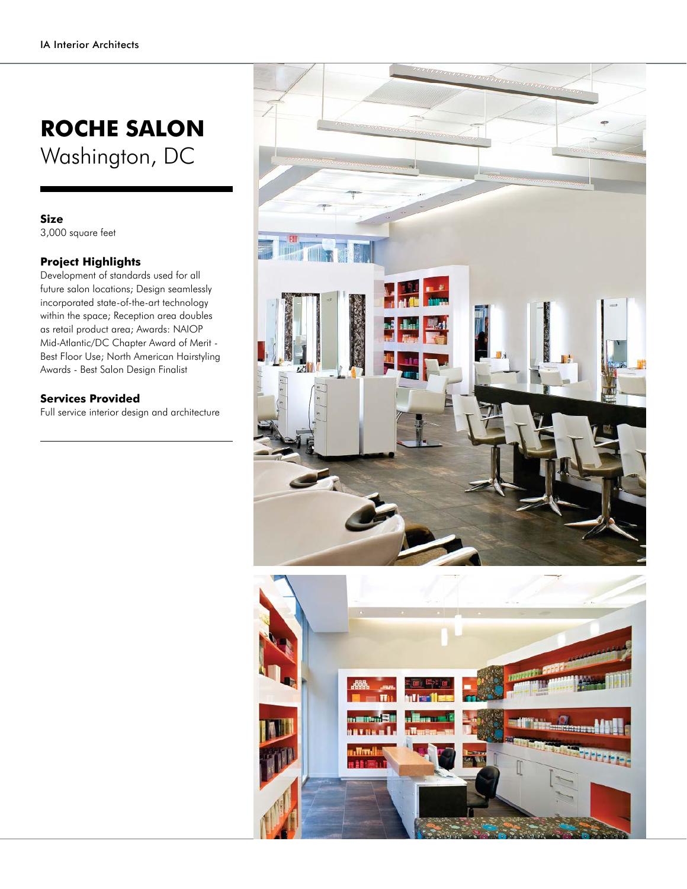## **ROCHE SALON** Washington, DC

## **Size**

3,000 square feet

## **Project Highlights**

Development of standards used for all future salon locations; Design seamlessly incorporated state-of-the-art technology within the space; Reception area doubles as retail product area; Awards: NAIOP Mid-Atlantic/DC Chapter Award of Merit - Best Floor Use; North American Hairstyling Awards - Best Salon Design Finalist

## **Services Provided**

Full service interior design and architecture